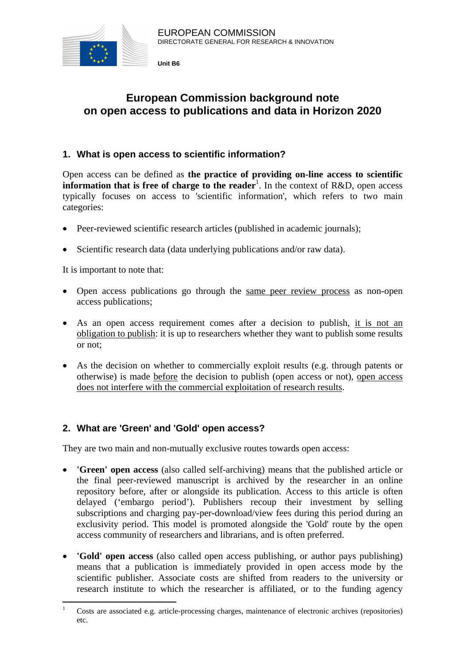

**Unit B6** 

# **European Commission background note on open access to publications and data in Horizon 2020**

# **1. What is open access to scientific information?**

Open access can be defined as **the practice of providing on-line access to scientific information that is free of charge to the reader**<sup>1</sup>. In the context of R&D, open access typically focuses on access to 'scientific information', which refers to two main categories:

- Peer-reviewed scientific research articles (published in academic journals);
- Scientific research data (data underlying publications and/or raw data).

It is important to note that:

- Open access publications go through the same peer review process as non-open access publications;
- As an open access requirement comes after a decision to publish, it is not an obligation to publish: it is up to researchers whether they want to publish some results or not;
- As the decision on whether to commercially exploit results (e.g. through patents or otherwise) is made before the decision to publish (open access or not), open access does not interfere with the commercial exploitation of research results.

## **2. What are 'Green' and 'Gold' open access?**

They are two main and non-mutually exclusive routes towards open access:

- **'Green' open access** (also called self-archiving) means that the published article or the final peer-reviewed manuscript is archived by the researcher in an online repository before, after or alongside its publication. Access to this article is often delayed ('embargo period'). Publishers recoup their investment by selling subscriptions and charging pay-per-download/view fees during this period during an exclusivity period. This model is promoted alongside the 'Gold' route by the open access community of researchers and librarians, and is often preferred.
- **'Gold' open access** (also called open access publishing, or author pays publishing) means that a publication is immediately provided in open access mode by the scientific publisher. Associate costs are shifted from readers to the university or research institute to which the researcher is affiliated, or to the funding agency

 $\frac{1}{1}$  Costs are associated e.g. article-processing charges, maintenance of electronic archives (repositories) etc.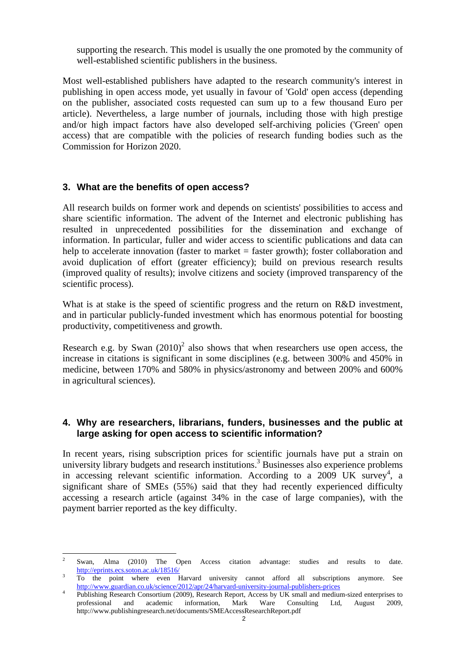supporting the research. This model is usually the one promoted by the community of well-established scientific publishers in the business.

Most well-established publishers have adapted to the research community's interest in publishing in open access mode, yet usually in favour of 'Gold' open access (depending on the publisher, associated costs requested can sum up to a few thousand Euro per article). Nevertheless, a large number of journals, including those with high prestige and/or high impact factors have also developed self-archiving policies ('Green' open access) that are compatible with the policies of research funding bodies such as the Commission for Horizon 2020.

#### **3. What are the benefits of open access?**

 $\overline{a}$ 

All research builds on former work and depends on scientists' possibilities to access and share scientific information. The advent of the Internet and electronic publishing has resulted in unprecedented possibilities for the dissemination and exchange of information. In particular, fuller and wider access to scientific publications and data can help to accelerate innovation (faster to market = faster growth); foster collaboration and avoid duplication of effort (greater efficiency); build on previous research results (improved quality of results); involve citizens and society (improved transparency of the scientific process).

What is at stake is the speed of scientific progress and the return on R&D investment, and in particular publicly-funded investment which has enormous potential for boosting productivity, competitiveness and growth.

Research e.g. by Swan  $(2010)^2$  also shows that when researchers use open access, the increase in citations is significant in some disciplines (e.g. between 300% and 450% in medicine, between 170% and 580% in physics/astronomy and between 200% and 600% in agricultural sciences).

#### **4. Why are researchers, librarians, funders, businesses and the public at large asking for open access to scientific information?**

In recent years, rising subscription prices for scientific journals have put a strain on university library budgets and research institutions.<sup>3</sup> Businesses also experience problems in accessing relevant scientific information. According to a  $2009$  UK survey<sup>4</sup>, a significant share of SMEs (55%) said that they had recently experienced difficulty accessing a research article (against 34% in the case of large companies), with the payment barrier reported as the key difficulty.

<sup>2</sup> Swan, Alma (2010) The Open Access citation advantage: studies and results to date. <http://eprints.ecs.soton.ac.uk/18516/> <sup>3</sup>

To the point where even Harvard university cannot afford all subscriptions anymore. See <http://www.guardian.co.uk/science/2012/apr/24/harvard-university-journal-publishers-prices>

Publishing Research Consortium (2009), Research Report, Access by UK small and medium-sized enterprises to professional and academic information, Mark Ware Consulting Ltd, August 2009, http://www.publishingresearch.net/documents/SMEAccessResearchReport.pdf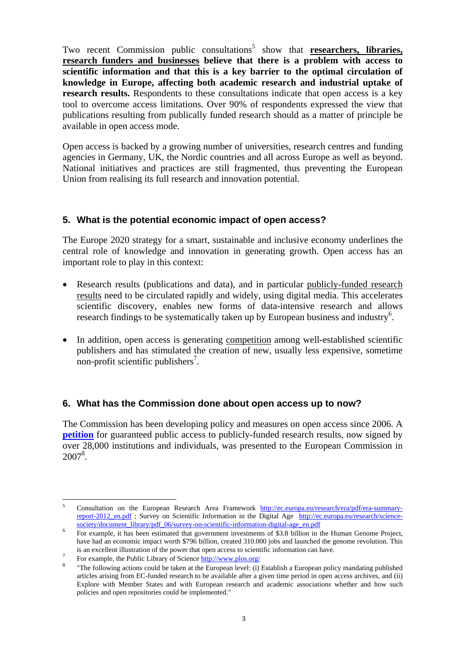Two recent Commission public consultations<sup>5</sup> show that **researchers, libraries**, **research funders and businesses believe that there is a problem with access to scientific information and that this is a key barrier to the optimal circulation of knowledge in Europe, affecting both academic research and industrial uptake of research results.** Respondents to these consultations indicate that open access is a key tool to overcome access limitations. Over 90% of respondents expressed the view that publications resulting from publically funded research should as a matter of principle be available in open access mode.

Open access is backed by a growing number of universities, research centres and funding agencies in Germany, UK, the Nordic countries and all across Europe as well as beyond. National initiatives and practices are still fragmented, thus preventing the European Union from realising its full research and innovation potential.

#### **5. What is the potential economic impact of open access?**

The Europe 2020 strategy for a smart, sustainable and inclusive economy underlines the central role of knowledge and innovation in generating growth. Open access has an important role to play in this context:

- Research results (publications and data), and in particular publicly-funded research results need to be circulated rapidly and widely, using digital media. This accelerates scientific discovery, enables new forms of data-intensive research and allows research findings to be systematically taken up by European business and industry<sup>6</sup>.
- In addition, open access is generating competition among well-established scientific publishers and has stimulated the creation of new, usually less expensive, sometime non-profit scientific publishers<sup>7</sup>.

#### **6. What has the Commission done about open access up to now?**

The Commission has been developing policy and measures on open access since 2006. A **[petition](http://www.ec-petition.eu/)** for guaranteed public access to publicly-funded research results, now signed by over 28,000 institutions and individuals, was presented to the European Commission in 2007<sup>8</sup>.

 $\overline{a}$ 5 Consultation on the European Research Area Framework [http://ec.europa.eu/research/era/pdf/era-summary](http://ec.europa.eu/research/era/pdf/era-summary-report-2012_en.pdf)[report-2012\\_en.pdf](http://ec.europa.eu/research/era/pdf/era-summary-report-2012_en.pdf) ; Survey on Scientific Information in the Digital Age [http://ec.europa.eu/research/science](http://ec.europa.eu/research/science-society/document_library/pdf_06/survey-on-scientific-information-digital-age_en.pdf)[society/document\\_library/pdf\\_06/survey-on-scientific-information-digital-age\\_en.pdf](http://ec.europa.eu/research/science-society/document_library/pdf_06/survey-on-scientific-information-digital-age_en.pdf)  $\frac{6}{5}$  Representific-information-digital-age\_en.pdf  $\frac{6}{5}$  Representific-information-digital-age\_en.pdf  $\frac{6}{5}$  Representific-inf

For example, it has been estimated that government investments of \$3.8 billion in the Human Genome Project, have had an economic impact worth \$796 billion, created 310.000 jobs and launched the genome revolution. This is an excellent illustration of the power that open access to scientific information can have.

For example, the Public Library of Science http://www.plos.org/

 <sup>&</sup>quot;The following actions could be taken at the European level: (i) Establish a European policy mandating published articles arising from EC-funded research to be available after a given time period in open access archives, and (ii) Explore with Member States and with European research and academic associations whether and how such policies and open repositories could be implemented."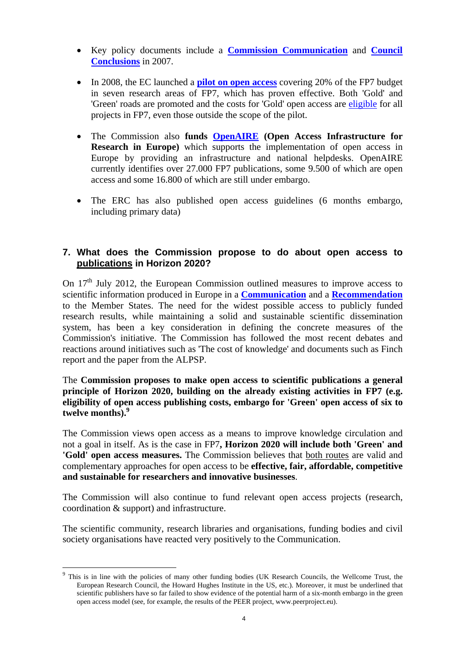- Key policy documents include a **[Commission Communication](http://ec.europa.eu/research/science-society/document_library/pdf_06/communication-022007_en.pdf)** and **[Council](http://www.consilium.europa.eu/ueDocs/cms_Data/docs/pressData/en/intm/97236.pdf)  [Conclusions](http://www.consilium.europa.eu/ueDocs/cms_Data/docs/pressData/en/intm/97236.pdf)** in 2007.
- In 2008, the EC launched a **[pilot on open access](http://ec.europa.eu/research/science-society/document_library/pdf_06/survey-on-open-access-in-fp7_en.pdf)** covering 20% of the FP7 budget in seven research areas of FP7, which has proven effective. Both 'Gold' and 'Green' roads are promoted and the costs for 'Gold' open access are [eligible](http://ec.europa.eu/research/science-society/index.cfm?fuseaction=public.topic&id=1300&lang=1) for all projects in FP7, even those outside the scope of the pilot.
- The Commission also **funds [OpenAIRE](http://www.openaire.eu/) (Open Access Infrastructure for Research in Europe)** which supports the implementation of open access in Europe by providing an infrastructure and national helpdesks. OpenAIRE currently identifies over 27.000 FP7 publications, some 9.500 of which are open access and some 16.800 of which are still under embargo.
- The ERC has also published open access guidelines (6 months embargo, including primary data)

## **7. What does the Commission propose to do about open access to publications in Horizon 2020?**

On  $17<sup>th</sup>$  July 2012, the European Commission outlined measures to improve access to scientific information produced in Europe in a **[Communication](http://ec.europa.eu/research/science-society/document_library/pdf_06/era-communication-towards-better-access-to-scientific-information_en.pdf)** and a **[Recommendation](http://ec.europa.eu/research/science-society/document_library/pdf_06/recommendation-access-and-preservation-scientific-information_en.pdf)** to the Member States. The need for the widest possible access to publicly funded research results, while maintaining a solid and sustainable scientific dissemination system, has been a key consideration in defining the concrete measures of the Commission's initiative. The Commission has followed the most recent debates and reactions around initiatives such as 'The cost of knowledge' and documents such as Finch report and the paper from the ALPSP.

The **Commission proposes to make open access to scientific publications a general principle of Horizon 2020, building on the already existing activities in FP7 (e.g. eligibility of open access publishing costs, embargo for 'Green' open access of six to twelve months).9**

The Commission views open access as a means to improve knowledge circulation and not a goal in itself. As is the case in FP7**, Horizon 2020 will include both 'Green' and 'Gold' open access measures.** The Commission believes that both routes are valid and complementary approaches for open access to be **effective, fair, affordable, competitive and sustainable for researchers and innovative businesses**.

The Commission will also continue to fund relevant open access projects (research, coordination & support) and infrastructure.

The scientific community, research libraries and organisations, funding bodies and civil society organisations have reacted very positively to the Communication.

 $\overline{a}$ 

<sup>&</sup>lt;sup>9</sup> This is in line with the policies of many other funding bodies (UK Research Councils, the Wellcome Trust, the European Research Council, the Howard Hughes Institute in the US, etc.). Moreover, it must be underlined that scientific publishers have so far failed to show evidence of the potential harm of a six-month embargo in the green open access model (see, for example, the results of the PEER project, www.peerproject.eu).